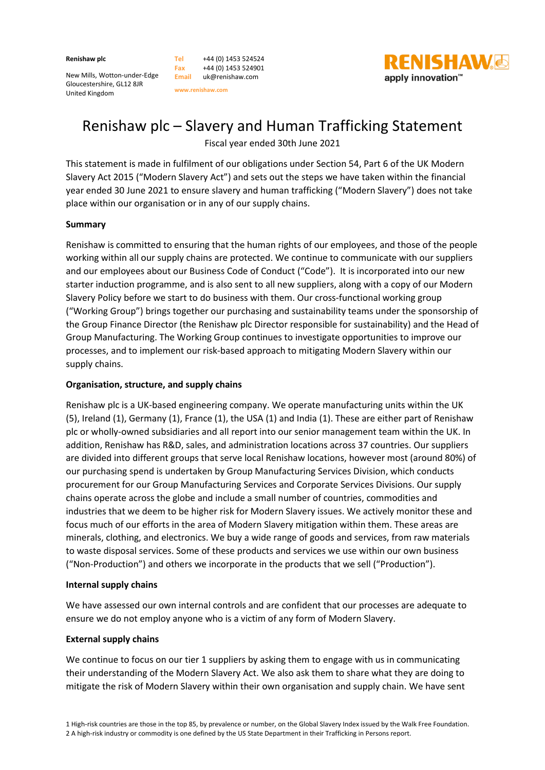**Renishaw plc** 

| Tel        | +44 (0) 1453 524524 |
|------------|---------------------|
| <b>Fax</b> | +44 (0) 1453 524901 |
| Email      | uk@renishaw.com     |

New Mills, Wotton-under-Edge Gloucestershire, GL12 8JR United Kingdom

shaw.com **www.renishaw.com** 



# Renishaw plc – Slavery and Human Trafficking Statement

Fiscal year ended 30th June 2021

This statement is made in fulfilment of our obligations under Section 54, Part 6 of the UK Modern Slavery Act 2015 ("Modern Slavery Act") and sets out the steps we have taken within the financial year ended 30 June 2021 to ensure slavery and human trafficking ("Modern Slavery") does not take place within our organisation or in any of our supply chains.

## **Summary**

Renishaw is committed to ensuring that the human rights of our employees, and those of the people working within all our supply chains are protected. We continue to communicate with our suppliers and our employees about our Business Code of Conduct ("Code"). It is incorporated into our new starter induction programme, and is also sent to all new suppliers, along with a copy of our Modern Slavery Policy before we start to do business with them. Our cross-functional working group ("Working Group") brings together our purchasing and sustainability teams under the sponsorship of the Group Finance Director (the Renishaw plc Director responsible for sustainability) and the Head of Group Manufacturing. The Working Group continues to investigate opportunities to improve our processes, and to implement our risk-based approach to mitigating Modern Slavery within our supply chains.

## **Organisation, structure, and supply chains**

Renishaw plc is a UK-based engineering company. We operate manufacturing units within the UK (5), Ireland (1), Germany (1), France (1), the USA (1) and India (1). These are either part of Renishaw plc or wholly-owned subsidiaries and all report into our senior management team within the UK. In addition, Renishaw has R&D, sales, and administration locations across 37 countries. Our suppliers are divided into different groups that serve local Renishaw locations, however most (around 80%) of our purchasing spend is undertaken by Group Manufacturing Services Division, which conducts procurement for our Group Manufacturing Services and Corporate Services Divisions. Our supply chains operate across the globe and include a small number of countries, commodities and industries that we deem to be higher risk for Modern Slavery issues. We actively monitor these and focus much of our efforts in the area of Modern Slavery mitigation within them. These areas are minerals, clothing, and electronics. We buy a wide range of goods and services, from raw materials to waste disposal services. Some of these products and services we use within our own business ("Non-Production") and others we incorporate in the products that we sell ("Production").

### **Internal supply chains**

We have assessed our own internal controls and are confident that our processes are adequate to ensure we do not employ anyone who is a victim of any form of Modern Slavery.

# **External supply chains**

We continue to focus on our tier 1 suppliers by asking them to engage with us in communicating their understanding of the Modern Slavery Act. We also ask them to share what they are doing to mitigate the risk of Modern Slavery within their own organisation and supply chain. We have sent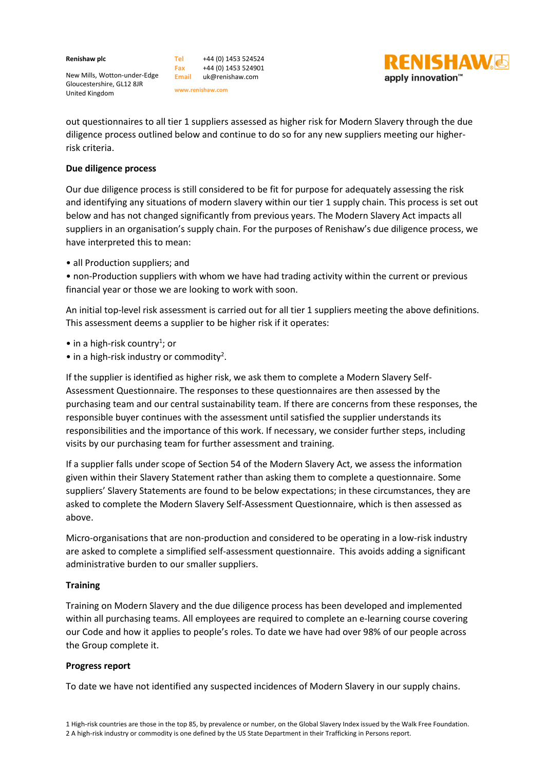**Renishaw plc** 

**Tel** +44 (0) 1453 524524 **Fax Email** uk@renishaw.com +44 (0) 1453 524901

**www.renishaw.com** 

New Mills, Wotton-under-Edge Gloucestershire, GL12 8JR United Kingdom

out questionnaires to all tier 1 suppliers assessed as higher risk for Modern Slavery through the due diligence process outlined below and continue to do so for any new suppliers meeting our higherrisk criteria.

**RENISHAW**G

apply innovation™

### **Due diligence process**

Our due diligence process is still considered to be fit for purpose for adequately assessing the risk and identifying any situations of modern slavery within our tier 1 supply chain. This process is set out below and has not changed significantly from previous years. The Modern Slavery Act impacts all suppliers in an organisation's supply chain. For the purposes of Renishaw's due diligence process, we have interpreted this to mean:

• all Production suppliers; and

• non-Production suppliers with whom we have had trading activity within the current or previous financial year or those we are looking to work with soon.

An initial top-level risk assessment is carried out for all tier 1 suppliers meeting the above definitions. This assessment deems a supplier to be higher risk if it operates:

 $\bullet$  in a high-risk country<sup>1</sup>; or

 $\bullet$  in a high-risk industry or commodity<sup>2</sup>.

If the supplier is identified as higher risk, we ask them to complete a Modern Slavery Self-Assessment Questionnaire. The responses to these questionnaires are then assessed by the purchasing team and our central sustainability team. If there are concerns from these responses, the responsible buyer continues with the assessment until satisfied the supplier understands its responsibilities and the importance of this work. If necessary, we consider further steps, including visits by our purchasing team for further assessment and training.

If a supplier falls under scope of Section 54 of the Modern Slavery Act, we assess the information given within their Slavery Statement rather than asking them to complete a questionnaire. Some suppliers' Slavery Statements are found to be below expectations; in these circumstances, they are asked to complete the Modern Slavery Self-Assessment Questionnaire, which is then assessed as above.

Micro-organisations that are non-production and considered to be operating in a low-risk industry are asked to complete a simplified self-assessment questionnaire. This avoids adding a significant administrative burden to our smaller suppliers.

#### **Training**

Training on Modern Slavery and the due diligence process has been developed and implemented within all purchasing teams. All employees are required to complete an e-learning course covering our Code and how it applies to people's roles. To date we have had over 98% of our people across the Group complete it.

#### **Progress report**

To date we have not identified any suspected incidences of Modern Slavery in our supply chains.